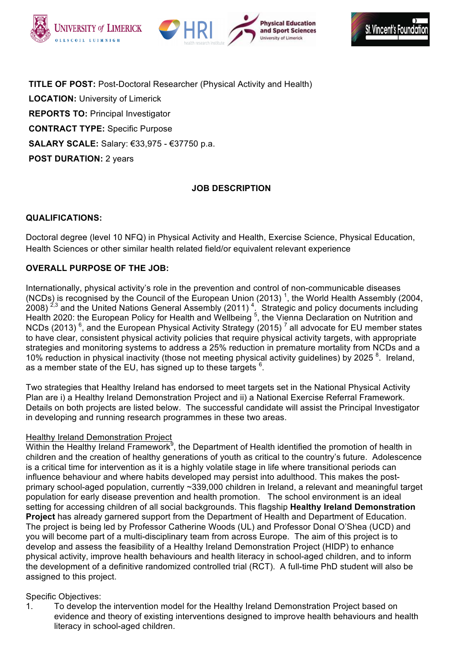





**TITLE OF POST:** Post-Doctoral Researcher (Physical Activity and Health) **LOCATION:** University of Limerick **REPORTS TO:** Principal Investigator **CONTRACT TYPE:** Specific Purpose **SALARY SCALE:** Salary: €33,975 - €37750 p.a. **POST DURATION:** 2 years

# **JOB DESCRIPTION**

## **QUALIFICATIONS:**

Doctoral degree (level 10 NFQ) in Physical Activity and Health, Exercise Science, Physical Education, Health Sciences or other similar health related field/or equivalent relevant experience

## **OVERALL PURPOSE OF THE JOB:**

Internationally, physical activity's role in the prevention and control of non-communicable diseases (NCDs) is recognised by the Council of the European Union (2013)<sup>1</sup>, the World Health Assembly (2004, 2008)<sup>2,3</sup> and the United Nations General Assembly (2011)<sup>4</sup>. Strategic and policy documents including Health 2020: the European Policy for Health and Wellbeing<sup>5</sup>, the Vienna Declaration on Nutrition and NCDs (2013)<sup>6</sup>, and the European Physical Activity Strategy (2015)<sup>7</sup> all advocate for EU member states to have clear, consistent physical activity policies that require physical activity targets, with appropriate strategies and monitoring systems to address a 25% reduction in premature mortality from NCDs and a 10% reduction in physical inactivity (those not meeting physical activity guidelines) by 2025<sup>8</sup>. Ireland, as a member state of the EU, has signed up to these targets  $6$ .

Two strategies that Healthy Ireland has endorsed to meet targets set in the National Physical Activity Plan are i) a Healthy Ireland Demonstration Project and ii) a National Exercise Referral Framework. Details on both projects are listed below. The successful candidate will assist the Principal Investigator in developing and running research programmes in these two areas.

## Healthy Ireland Demonstration Project

Within the Healthy Ireland Framework<sup>9</sup>, the Department of Health identified the promotion of health in children and the creation of healthy generations of youth as critical to the country's future. Adolescence is a critical time for intervention as it is a highly volatile stage in life where transitional periods can influence behaviour and where habits developed may persist into adulthood. This makes the postprimary school-aged population, currently ~339,000 children in Ireland, a relevant and meaningful target population for early disease prevention and health promotion. The school environment is an ideal setting for accessing children of all social backgrounds. This flagship **Healthy Ireland Demonstration Project** has already garnered support from the Department of Health and Department of Education. The project is being led by Professor Catherine Woods (UL) and Professor Donal O'Shea (UCD) and you will become part of a multi-disciplinary team from across Europe. The aim of this project is to develop and assess the feasibility of a Healthy Ireland Demonstration Project (HIDP) to enhance physical activity, improve health behaviours and health literacy in school-aged children, and to inform the development of a definitive randomized controlled trial (RCT). A full-time PhD student will also be assigned to this project.

## Specific Objectives:

1. To develop the intervention model for the Healthy Ireland Demonstration Project based on evidence and theory of existing interventions designed to improve health behaviours and health literacy in school-aged children.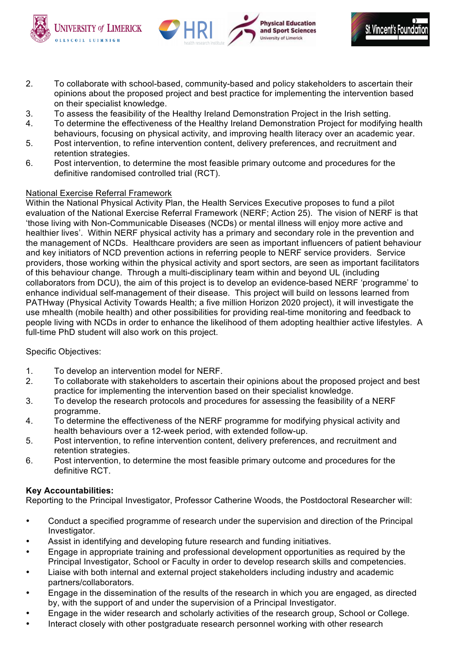





- 2. To collaborate with school-based, community-based and policy stakeholders to ascertain their opinions about the proposed project and best practice for implementing the intervention based on their specialist knowledge.
- 3. To assess the feasibility of the Healthy Ireland Demonstration Project in the Irish setting.
- 4. To determine the effectiveness of the Healthy Ireland Demonstration Project for modifying health behaviours, focusing on physical activity, and improving health literacy over an academic year.
- 5. Post intervention, to refine intervention content, delivery preferences, and recruitment and retention strategies.
- 6. Post intervention, to determine the most feasible primary outcome and procedures for the definitive randomised controlled trial (RCT).

#### National Exercise Referral Framework

Within the National Physical Activity Plan, the Health Services Executive proposes to fund a pilot evaluation of the National Exercise Referral Framework (NERF; Action 25). The vision of NERF is that 'those living with Non-Communicable Diseases (NCDs) or mental illness will enjoy more active and healthier lives'. Within NERF physical activity has a primary and secondary role in the prevention and the management of NCDs. Healthcare providers are seen as important influencers of patient behaviour and key initiators of NCD prevention actions in referring people to NERF service providers. Service providers, those working within the physical activity and sport sectors, are seen as important facilitators of this behaviour change. Through a multi-disciplinary team within and beyond UL (including collaborators from DCU), the aim of this project is to develop an evidence-based NERF 'programme' to enhance individual self-management of their disease. This project will build on lessons learned from PATHway (Physical Activity Towards Health; a five million Horizon 2020 project), it will investigate the use mhealth (mobile health) and other possibilities for providing real-time monitoring and feedback to people living with NCDs in order to enhance the likelihood of them adopting healthier active lifestyles. A full-time PhD student will also work on this project.

#### Specific Objectives:

- 1. To develop an intervention model for NERF.
- 2. To collaborate with stakeholders to ascertain their opinions about the proposed project and best practice for implementing the intervention based on their specialist knowledge.
- 3. To develop the research protocols and procedures for assessing the feasibility of a NERF programme.
- 4. To determine the effectiveness of the NERF programme for modifying physical activity and health behaviours over a 12-week period, with extended follow-up.
- 5. Post intervention, to refine intervention content, delivery preferences, and recruitment and retention strategies.
- 6. Post intervention, to determine the most feasible primary outcome and procedures for the definitive RCT.

#### **Key Accountabilities:**

Reporting to the Principal Investigator, Professor Catherine Woods, the Postdoctoral Researcher will:

- Conduct a specified programme of research under the supervision and direction of the Principal Investigator.
- Assist in identifying and developing future research and funding initiatives.
- Engage in appropriate training and professional development opportunities as required by the Principal Investigator, School or Faculty in order to develop research skills and competencies.
- Liaise with both internal and external project stakeholders including industry and academic partners/collaborators.
- Engage in the dissemination of the results of the research in which you are engaged, as directed by, with the support of and under the supervision of a Principal Investigator.
- Engage in the wider research and scholarly activities of the research group, School or College.
- Interact closely with other postgraduate research personnel working with other research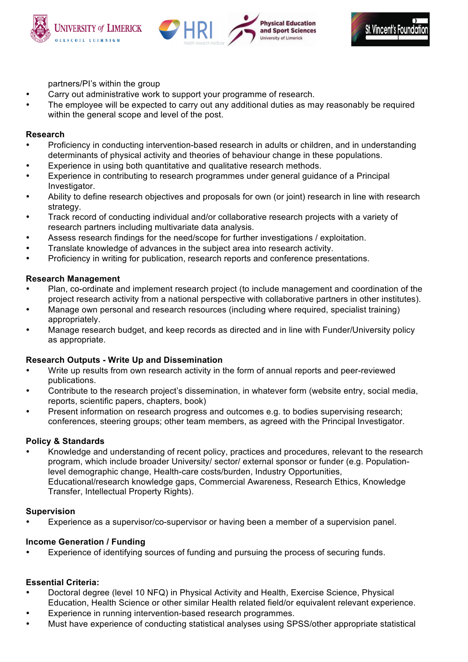





partners/PI's within the group

- Carry out administrative work to support your programme of research.
- The employee will be expected to carry out any additional duties as may reasonably be required within the general scope and level of the post.

## **Research**

- Proficiency in conducting intervention-based research in adults or children, and in understanding determinants of physical activity and theories of behaviour change in these populations.
- Experience in using both quantitative and qualitative research methods.
- Experience in contributing to research programmes under general guidance of a Principal Investigator.
- Ability to define research objectives and proposals for own (or joint) research in line with research strategy.
- Track record of conducting individual and/or collaborative research projects with a variety of research partners including multivariate data analysis.
- Assess research findings for the need/scope for further investigations / exploitation.
- Translate knowledge of advances in the subject area into research activity.
- Proficiency in writing for publication, research reports and conference presentations.

## **Research Management**

- Plan, co-ordinate and implement research project (to include management and coordination of the project research activity from a national perspective with collaborative partners in other institutes).
- Manage own personal and research resources (including where required, specialist training) appropriately.
- Manage research budget, and keep records as directed and in line with Funder/University policy as appropriate.

## **Research Outputs - Write Up and Dissemination**

- Write up results from own research activity in the form of annual reports and peer-reviewed publications.
- Contribute to the research project's dissemination, in whatever form (website entry, social media, reports, scientific papers, chapters, book)
- Present information on research progress and outcomes e.g. to bodies supervising research; conferences, steering groups; other team members, as agreed with the Principal Investigator.

## **Policy & Standards**

• Knowledge and understanding of recent policy, practices and procedures, relevant to the research program, which include broader University/ sector/ external sponsor or funder (e.g. Populationlevel demographic change, Health-care costs/burden, Industry Opportunities, Educational/research knowledge gaps, Commercial Awareness, Research Ethics, Knowledge Transfer, Intellectual Property Rights).

## **Supervision**

• Experience as a supervisor/co-supervisor or having been a member of a supervision panel.

# **Income Generation / Funding**

• Experience of identifying sources of funding and pursuing the process of securing funds.

# **Essential Criteria:**

- Doctoral degree (level 10 NFQ) in Physical Activity and Health, Exercise Science, Physical Education, Health Science or other similar Health related field/or equivalent relevant experience.
- Experience in running intervention-based research programmes.
- Must have experience of conducting statistical analyses using SPSS/other appropriate statistical